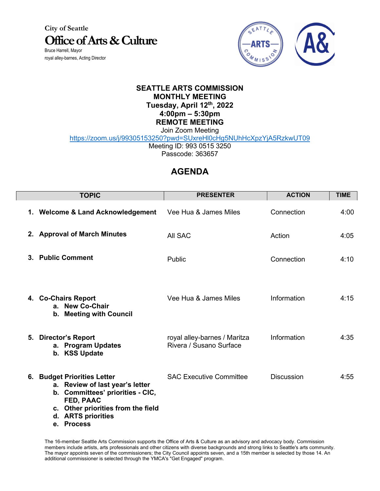**City of Seattle Office of Arts & Culture** Bruce Harrell, Mayor

royal alley-barnes, Acting Director

L



## **SEATTLE ARTS COMMISSION MONTHLY MEETING Tuesday, April 12th, 2022 4:00pm – 5:30pm REMOTE MEETING**

Join Zoom Meeting

https://zoom.us/j/99305153250?pwd=SUxreHl0cHg5NUhHcXpzYjA5RzkwUT09

Meeting ID: 993 0515 3250

Passcode: 363657

## **AGENDA**

| <b>TOPIC</b>                                                                                                                                                                                        | <b>PRESENTER</b>                                        | <b>ACTION</b>     | <b>TIME</b> |
|-----------------------------------------------------------------------------------------------------------------------------------------------------------------------------------------------------|---------------------------------------------------------|-------------------|-------------|
| 1. Welcome & Land Acknowledgement                                                                                                                                                                   | Vee Hua & James Miles                                   | Connection        | 4:00        |
| 2. Approval of March Minutes                                                                                                                                                                        | All SAC                                                 | Action            | 4:05        |
| 3. Public Comment                                                                                                                                                                                   | Public                                                  | Connection        | 4:10        |
| 4. Co-Chairs Report<br>a. New Co-Chair<br>b. Meeting with Council                                                                                                                                   | Vee Hua & James Miles                                   | Information       | 4:15        |
| 5. Director's Report<br>a. Program Updates<br>b. KSS Update                                                                                                                                         | royal alley-barnes / Maritza<br>Rivera / Susano Surface | Information       | 4:35        |
| 6. Budget Priorities Letter<br>a. Review of last year's letter<br>b. Committees' priorities - CIC,<br>FED, PAAC<br>c. Other priorities from the field<br>d. ARTS priorities<br><b>Process</b><br>е. | <b>SAC Executive Committee</b>                          | <b>Discussion</b> | 4:55        |

The 16-member Seattle Arts Commission supports the Office of Arts & Culture as an advisory and advocacy body. Commission members include artists, arts professionals and other citizens with diverse backgrounds and strong links to Seattle's arts community. The mayor appoints seven of the commissioners; the City Council appoints seven, and a 15th member is selected by those 14. An additional commissioner is selected through the YMCA's "Get Engaged" program.